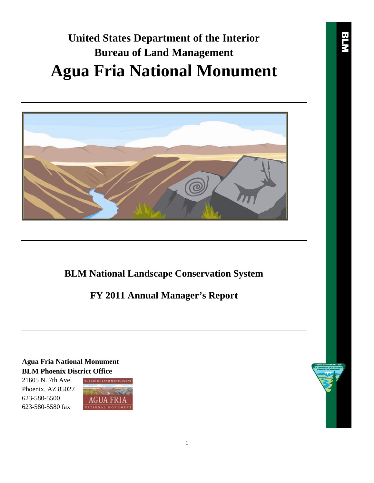# **United States Department of the Interior Bureau of Land Management Agua Fria National Monument**



**BLM National Landscape Conservation System**

**FY 2011 Annual Manager's Report**

**Agua Fria National Monument BLM Phoenix District Office**

21605 N. 7th Ave. Phoenix, AZ 85027 623-580-5500 623-580-5580 fax

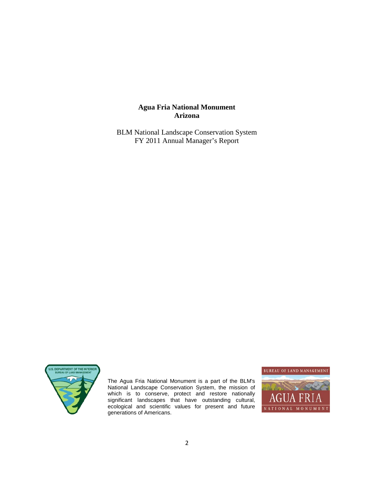# **Agua Fria National Monument Arizona**

BLM National Landscape Conservation System FY 2011 Annual Manager's Report



The Agua Fria National Monument is a part of the BLM's National Landscape Conservation System, the mission of which is to conserve, protect and restore nationally significant landscapes that have outstanding cultural, ecological and scientific values for present and future generations of Americans.

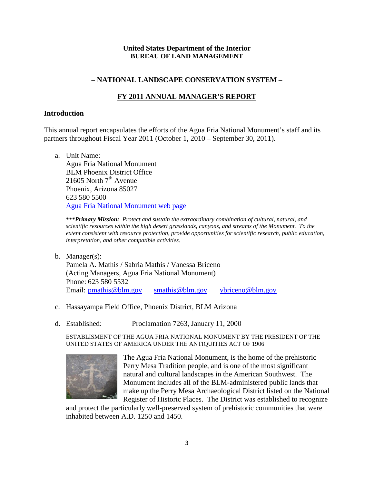# **United States Department of the Interior BUREAU OF LAND MANAGEMENT**

# **– NATIONAL LANDSCAPE CONSERVATION SYSTEM –**

# **FY 2011 ANNUAL MANAGER'S REPORT**

### **Introduction**

This annual report encapsulates the efforts of the Agua Fria National Monument's staff and its partners throughout Fiscal Year 2011 (October 1, 2010 – September 30, 2011).

a. Unit Name: Agua Fria National Monument BLM Phoenix District Office 21605 North  $7<sup>th</sup>$  Avenue Phoenix, Arizona 85027 623 580 5500 Agua Fria National Monument web page

*\*\*\*Primary Mission: Protect and sustain the extraordinary combination of cultural, natural, and scientific resources within the high desert grasslands, canyons, and streams of the Monument. To the extent consistent with resource protection, provide opportunities for scientific research, public education, interpretation, and other compatible activities.*

- b. Manager(s): Pamela A. Mathis / Sabria Mathis / Vanessa Briceno (Acting Managers, Agua Fria National Monument) Phone: 623 580 5532 Email: pmathis@blm.gov smathis@blm.gov vbriceno@blm.gov
- c. Hassayampa Field Office, Phoenix District, BLM Arizona
- d. Established: Proclamation 7263, January 11, 2000

ESTABLISMENT OF THE AGUA FRIA NATIONAL MONUMENT BY THE PRESIDENT OF THE UNITED STATES OF AMERICA UNDER THE ANTIQUITIES ACT OF 1906



The Agua Fria National Monument, is the home of the prehistoric Perry Mesa Tradition people, and is one of the most significant natural and cultural landscapes in the American Southwest. The Monument includes all of the BLM-administered public lands that make up the Perry Mesa Archaeological District listed on the National Register of Historic Places. The District was established to recognize

and protect the particularly well-preserved system of prehistoric communities that were inhabited between A.D. 1250 and 1450.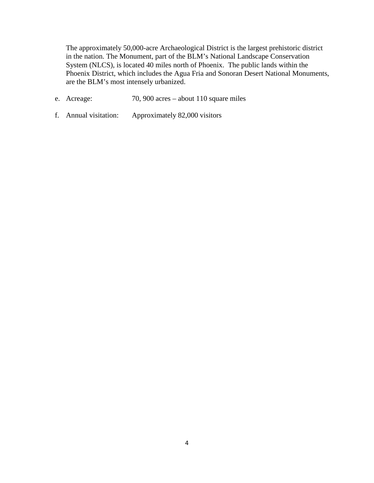The approximately 50,000-acre Archaeological District is the largest prehistoric district in the nation. The Monument, part of the BLM's National Landscape Conservation System (NLCS), is located 40 miles north of Phoenix. The public lands within the Phoenix District, which includes the Agua Fria and Sonoran Desert National Monuments, are the BLM's most intensely urbanized.

- e. Acreage: 70, 900 acres about 110 square miles
- f. Annual visitation: Approximately 82,000 visitors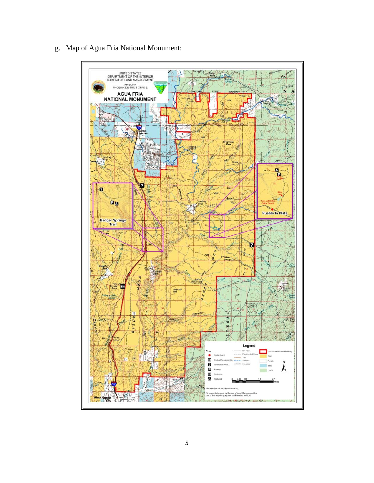

g. Map of Agua Fria National Monument: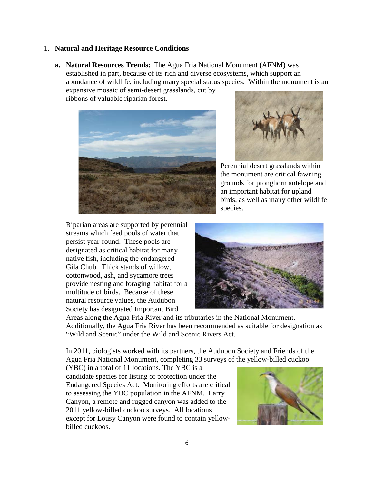### 1. **Natural and Heritage Resource Conditions**

**a. Natural Resources Trends:** The Agua Fria National Monument (AFNM) was established in part, because of its rich and diverse ecosystems, which support an abundance of wildlife, including many special status species. Within the monument is an

expansive mosaic of semi-desert grasslands, cut by ribbons of valuable riparian forest.





Perennial desert grasslands within the monument are critical fawning grounds for pronghorn antelope and an important habitat for upland birds, as well as many other wildlife species.

Riparian areas are supported by perennial streams which feed pools of water that persist year-round. These pools are designated as critical habitat for many native fish, including the endangered Gila Chub. Thick stands of willow, cottonwood, ash, and sycamore trees provide nesting and foraging habitat for a multitude of birds. Because of these natural resource values, the Audubon Society has designated Important Bird



Areas along the Agua Fria River and its tributaries in the National Monument. Additionally, the Agua Fria River has been recommended as suitable for designation as "Wild and Scenic" under the Wild and Scenic Rivers Act.

In 2011, biologists worked with its partners, the Audubon Society and Friends of the Agua Fria National Monument, completing 33 surveys of the yellow-billed cuckoo

(YBC) in a total of 11 locations. The YBC is a candidate species for listing of protection under the Endangered Species Act. Monitoring efforts are critical to assessing the YBC population in the AFNM. Larry Canyon, a remote and rugged canyon was added to the 2011 yellow-billed cuckoo surveys. All locations except for Lousy Canyon were found to contain yellowbilled cuckoos.

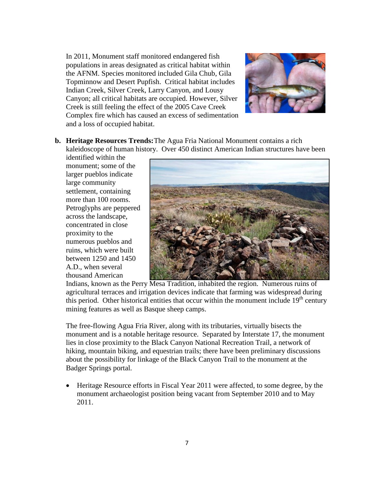In 2011, Monument staff monitored endangered fish populations in areas designated as critical habitat within the AFNM. Species monitored included Gila Chub, Gila Topminnow and Desert Pupfish. Critical habitat includes Indian Creek, Silver Creek, Larry Canyon, and Lousy Canyon; all critical habitats are occupied. However, Silver Creek is still feeling the effect of the 2005 Cave Creek Complex fire which has caused an excess of sedimentation and a loss of occupied habitat.



**b. Heritage Resources Trends:**The Agua Fria National Monument contains a rich kaleidoscope of human history. Over 450 distinct American Indian structures have been

identified within the monument; some of the larger pueblos indicate large community settlement, containing more than 100 rooms. Petroglyphs are peppered across the landscape, concentrated in close proximity to the numerous pueblos and ruins, which were built between 1250 and 1450 A.D., when several thousand American



Indians, known as the Perry Mesa Tradition, inhabited the region. Numerous ruins of agricultural terraces and irrigation devices indicate that farming was widespread during this period. Other historical entities that occur within the monument include  $19<sup>th</sup>$  century mining features as well as Basque sheep camps.

The free-flowing Agua Fria River, along with its tributaries, virtually bisects the monument and is a notable heritage resource. Separated by Interstate 17, the monument lies in close proximity to the Black Canyon National Recreation Trail, a network of hiking, mountain biking, and equestrian trails; there have been preliminary discussions about the possibility for linkage of the Black Canyon Trail to the monument at the Badger Springs portal.

• Heritage Resource efforts in Fiscal Year 2011 were affected, to some degree, by the monument archaeologist position being vacant from September 2010 and to May 2011.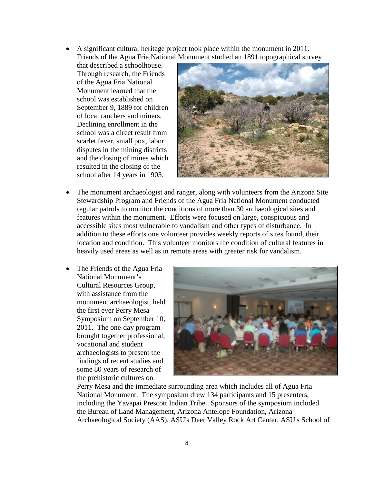- A significant cultural heritage project took place within the monument in 2011. Friends of the Agua Fria National Monument studied an 1891 topographical survey
	- that described a schoolhouse. Through research, the Friends of the Agua Fria National Monument learned that the school was established on September 9, 1889 for children of local ranchers and miners. Declining enrollment in the school was a direct result from scarlet fever, small pox, labor disputes in the mining districts and the closing of mines which resulted in the closing of the school after 14 years in 1903.



- The monument archaeologist and ranger, along with volunteers from the Arizona Site Stewardship Program and Friends of the Agua Fria National Monument conducted regular patrols to monitor the conditions of more than 30 archaeological sites and features within the monument. Efforts were focused on large, conspicuous and accessible sites most vulnerable to vandalism and other types of disturbance. In addition to these efforts one volunteer provides weekly reports of sites found, their location and condition. This volunteer monitors the condition of cultural features in heavily used areas as well as in remote areas with greater risk for vandalism.
- The Friends of the Agua Fria National Monument's Cultural Resources Group, with assistance from the monument archaeologist, held the first ever Perry Mesa Symposium on September 10, 2011. The one-day program brought together professional, vocational and student archaeologists to present the findings of recent studies and some 80 years of research of the prehistoric cultures on



Perry Mesa and the immediate surrounding area which includes all of Agua Fria National Monument. The symposium drew 134 participants and 15 presenters, including the Yavapai Prescott Indian Tribe. Sponsors of the symposium included the Bureau of Land Management, Arizona Antelope Foundation, Arizona Archaeological Society (AAS), ASU's Deer Valley Rock Art Center, ASU's School of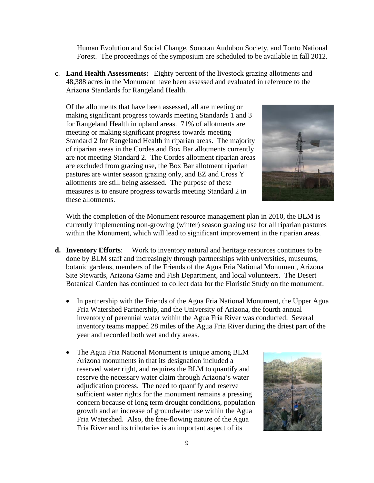Human Evolution and Social Change, Sonoran Audubon Society, and Tonto National Forest. The proceedings of the symposium are scheduled to be available in fall 2012.

c. **Land Health Assessments:** Eighty percent of the livestock grazing allotments and 48,388 acres in the Monument have been assessed and evaluated in reference to the Arizona Standards for Rangeland Health.

Of the allotments that have been assessed, all are meeting or making significant progress towards meeting Standards 1 and 3 for Rangeland Health in upland areas. 71% of allotments are meeting or making significant progress towards meeting Standard 2 for Rangeland Health in riparian areas. The majority of riparian areas in the Cordes and Box Bar allotments currently are not meeting Standard 2. The Cordes allotment riparian areas are excluded from grazing use, the Box Bar allotment riparian pastures are winter season grazing only, and EZ and Cross Y allotments are still being assessed. The purpose of these measures is to ensure progress towards meeting Standard 2 in these allotments.



With the completion of the Monument resource management plan in 2010, the BLM is currently implementing non-growing (winter) season grazing use for all riparian pastures within the Monument, which will lead to significant improvement in the riparian areas.

- **d. Inventory Efforts**: Work to inventory natural and heritage resources continues to be done by BLM staff and increasingly through partnerships with universities, museums, botanic gardens, members of the Friends of the Agua Fria National Monument, Arizona Site Stewards, Arizona Game and Fish Department, and local volunteers. The Desert Botanical Garden has continued to collect data for the Floristic Study on the monument.
	- In partnership with the Friends of the Agua Fria National Monument, the Upper Agua Fria Watershed Partnership, and the University of Arizona, the fourth annual inventory of perennial water within the Agua Fria River was conducted. Several inventory teams mapped 28 miles of the Agua Fria River during the driest part of the year and recorded both wet and dry areas.
	- The Agua Fria National Monument is unique among BLM Arizona monuments in that its designation included a reserved water right, and requires the BLM to quantify and reserve the necessary water claim through Arizona's water adjudication process. The need to quantify and reserve sufficient water rights for the monument remains a pressing concern because of long term drought conditions, population growth and an increase of groundwater use within the Agua Fria Watershed. Also, the free-flowing nature of the Agua Fria River and its tributaries is an important aspect of its

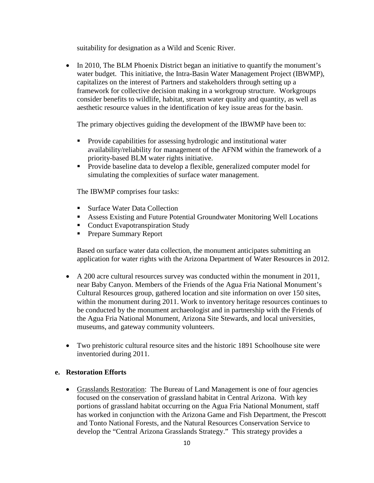suitability for designation as a Wild and Scenic River.

• In 2010, The BLM Phoenix District began an initiative to quantify the monument's water budget. This initiative, the Intra-Basin Water Management Project (IBWMP), capitalizes on the interest of Partners and stakeholders through setting up a framework for collective decision making in a workgroup structure. Workgroups consider benefits to wildlife, habitat, stream water quality and quantity, as well as aesthetic resource values in the identification of key issue areas for the basin.

The primary objectives guiding the development of the IBWMP have been to:

- Provide capabilities for assessing hydrologic and institutional water availability/reliability for management of the AFNM within the framework of a priority-based BLM water rights initiative.
- **Provide baseline data to develop a flexible, generalized computer model for** simulating the complexities of surface water management.

The IBWMP comprises four tasks:

- Surface Water Data Collection
- Assess Existing and Future Potential Groundwater Monitoring Well Locations
- Conduct Evapotranspiration Study
- **Prepare Summary Report**

Based on surface water data collection, the monument anticipates submitting an application for water rights with the Arizona Department of Water Resources in 2012.

- A 200 acre cultural resources survey was conducted within the monument in 2011, near Baby Canyon. Members of the Friends of the Agua Fria National Monument's Cultural Resources group, gathered location and site information on over 150 sites, within the monument during 2011. Work to inventory heritage resources continues to be conducted by the monument archaeologist and in partnership with the Friends of the Agua Fria National Monument, Arizona Site Stewards, and local universities, museums, and gateway community volunteers.
- Two prehistoric cultural resource sites and the historic 1891 Schoolhouse site were inventoried during 2011.

### **e. Restoration Efforts**

• Grasslands Restoration: The Bureau of Land Management is one of four agencies focused on the conservation of grassland habitat in Central Arizona. With key portions of grassland habitat occurring on the Agua Fria National Monument, staff has worked in conjunction with the Arizona Game and Fish Department, the Prescott and Tonto National Forests, and the Natural Resources Conservation Service to develop the "Central Arizona Grasslands Strategy." This strategy provides a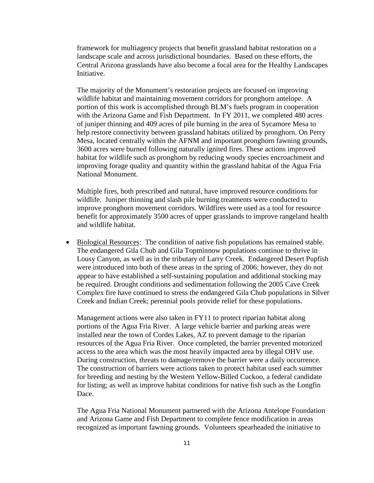framework for multiagency projects that benefit grassland habitat restoration on a landscape scale and across jurisdictional boundaries. Based on these efforts, the Central Arizona grasslands have also become a focal area for the Healthy Landscapes Initiative.

The majority of the Monument's restoration projects are focused on improving wildlife habitat and maintaining movement corridors for pronghorn antelope. A portion of this work is accomplished through BLM's fuels program in cooperation with the Arizona Game and Fish Department. In FY 2011, we completed 480 acres of juniper thinning and 409 acres of pile burning in the area of Sycamore Mesa to help restore connectivity between grassland habitats utilized by pronghorn. On Perry Mesa, located centrally within the AFNM and important pronghorn fawning grounds, 3600 acres were burned following naturally ignited fires. These actions improved habitat for wildlife such as pronghorn by reducing woody species encroachment and improving forage quality and quantity within the grassland habitat of the Agua Fria National Monument.

Multiple fires, both prescribed and natural, have improved resource conditions for wildlife. Juniper thinning and slash pile burning treatments were conducted to improve pronghorn movement corridors. Wildfires were used as a tool for resource benefit for approximately 3500 acres of upper grasslands to improve rangeland health and wildlife habitat.

• Biological Resources: The condition of native fish populations has remained stable. The endangered Gila Chub and Gila Topminnow populations continue to thrive in Lousy Canyon, as well as in the tributary of Larry Creek. Endangered Desert Pupfish were introduced into both of these areas in the spring of 2006; however, they do not appear to have established a self-sustaining population and additional stocking may be required. Drought conditions and sedimentation following the 2005 Cave Creek Complex fire have continued to stress the endangered Gila Chub populations in Silver Creek and Indian Creek; perennial pools provide relief for these populations.

Management actions were also taken in FY11 to protect riparian habitat along portions of the Agua Fria River. A large vehicle barrier and parking areas were installed near the town of Cordes Lakes, AZ to prevent damage to the riparian resources of the Agua Fria River. Once completed, the barrier prevented motorized access to the area which was the most heavily impacted area by illegal OHV use. During construction, threats to damage/remove the barrier were a daily occurrence. The construction of barriers were actions taken to protect habitat used each summer for breeding and nesting by the Western Yellow-Billed Cuckoo, a federal candidate for listing; as well as improve habitat conditions for native fish such as the Longfin Dace.

The Agua Fria National Monument partnered with the Arizona Antelope Foundation and Arizona Game and Fish Department to complete fence modification in areas recognized as important fawning grounds. Volunteers spearheaded the initiative to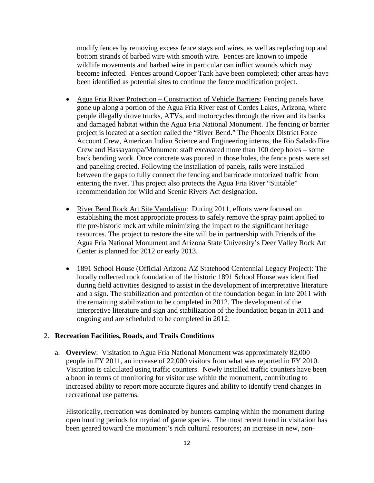modify fences by removing excess fence stays and wires, as well as replacing top and bottom strands of barbed wire with smooth wire. Fences are known to impede wildlife movements and barbed wire in particular can inflict wounds which may become infected. Fences around Copper Tank have been completed; other areas have been identified as potential sites to continue the fence modification project.

- Agua Fria River Protection Construction of Vehicle Barriers: Fencing panels have gone up along a portion of the Agua Fria River east of Cordes Lakes, Arizona, where people illegally drove trucks, ATVs, and motorcycles through the river and its banks and damaged habitat within the Agua Fria National Monument. The fencing or barrier project is located at a section called the "River Bend." The Phoenix District Force Account Crew, American Indian Science and Engineering interns, the Rio Salado Fire Crew and Hassayampa/Monument staff excavated more than 100 deep holes – some back bending work. Once concrete was poured in those holes, the fence posts were set and paneling erected. Following the installation of panels, rails were installed between the gaps to fully connect the fencing and barricade motorized traffic from entering the river. This project also protects the Agua Fria River "Suitable" recommendation for Wild and Scenic Rivers Act designation.
- River Bend Rock Art Site Vandalism: During 2011, efforts were focused on establishing the most appropriate process to safely remove the spray paint applied to the pre-historic rock art while minimizing the impact to the significant heritage resources. The project to restore the site will be in partnership with Friends of the Agua Fria National Monument and Arizona State University's Deer Valley Rock Art Center is planned for 2012 or early 2013.
- 1891 School House (Official Arizona AZ Statehood Centennial Legacy Project): The locally collected rock foundation of the historic 1891 School House was identified during field activities designed to assist in the development of interpretative literature and a sign. The stabilization and protection of the foundation began in late 2011 with the remaining stabilization to be completed in 2012. The development of the interpretive literature and sign and stabilization of the foundation began in 2011 and ongoing and are scheduled to be completed in 2012.

### 2. **Recreation Facilities, Roads, and Trails Conditions**

a. **Overview**: Visitation to Agua Fria National Monument was approximately 82,000 people in FY 2011, an increase of 22,000 visitors from what was reported in FY 2010. Visitation is calculated using traffic counters. Newly installed traffic counters have been a boon in terms of monitoring for visitor use within the monument, contributing to increased ability to report more accurate figures and ability to identify trend changes in recreational use patterns.

Historically, recreation was dominated by hunters camping within the monument during open hunting periods for myriad of game species. The most recent trend in visitation has been geared toward the monument's rich cultural resources; an increase in new, non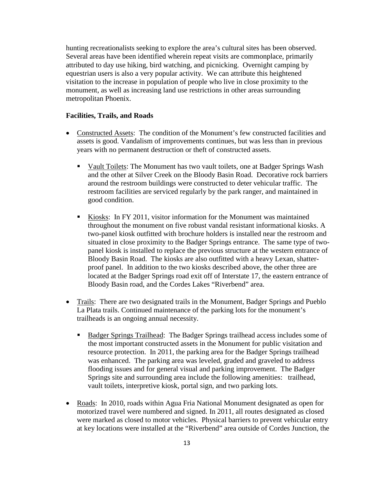hunting recreationalists seeking to explore the area's cultural sites has been observed. Several areas have been identified wherein repeat visits are commonplace, primarily attributed to day use hiking, bird watching, and picnicking. Overnight camping by equestrian users is also a very popular activity. We can attribute this heightened visitation to the increase in population of people who live in close proximity to the monument, as well as increasing land use restrictions in other areas surrounding metropolitan Phoenix.

#### **Facilities, Trails, and Roads**

- Constructed Assets: The condition of the Monument's few constructed facilities and assets is good. Vandalism of improvements continues, but was less than in previous years with no permanent destruction or theft of constructed assets.
	- Vault Toilets: The Monument has two vault toilets, one at Badger Springs Wash and the other at Silver Creek on the Bloody Basin Road. Decorative rock barriers around the restroom buildings were constructed to deter vehicular traffic. The restroom facilities are serviced regularly by the park ranger, and maintained in good condition.
	- Kiosks: In FY 2011, visitor information for the Monument was maintained throughout the monument on five robust vandal resistant informational kiosks. A two-panel kiosk outfitted with brochure holders is installed near the restroom and situated in close proximity to the Badger Springs entrance. The same type of twopanel kiosk is installed to replace the previous structure at the western entrance of Bloody Basin Road. The kiosks are also outfitted with a heavy Lexan, shatterproof panel. In addition to the two kiosks described above, the other three are located at the Badger Springs road exit off of Interstate 17, the eastern entrance of Bloody Basin road, and the Cordes Lakes "Riverbend" area.
- Trails: There are two designated trails in the Monument, Badger Springs and Pueblo La Plata trails. Continued maintenance of the parking lots for the monument's trailheads is an ongoing annual necessity.
	- **Badger Springs Trailhead: The Badger Springs trailhead access includes some of** the most important constructed assets in the Monument for public visitation and resource protection. In 2011, the parking area for the Badger Springs trailhead was enhanced. The parking area was leveled, graded and graveled to address flooding issues and for general visual and parking improvement. The Badger Springs site and surrounding area include the following amenities: trailhead, vault toilets, interpretive kiosk, portal sign, and two parking lots.
- Roads: In 2010, roads within Agua Fria National Monument designated as open for motorized travel were numbered and signed. In 2011, all routes designated as closed were marked as closed to motor vehicles. Physical barriers to prevent vehicular entry at key locations were installed at the "Riverbend" area outside of Cordes Junction, the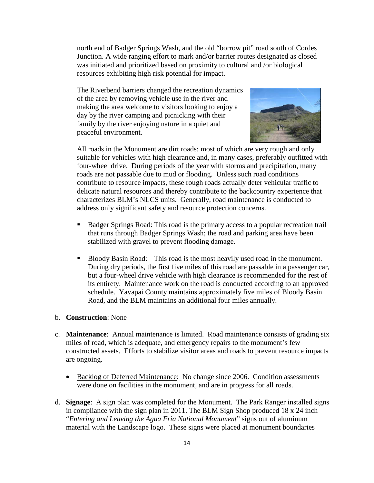north end of Badger Springs Wash, and the old "borrow pit" road south of Cordes Junction. A wide ranging effort to mark and/or barrier routes designated as closed was initiated and prioritized based on proximity to cultural and /or biological resources exhibiting high risk potential for impact.

The Riverbend barriers changed the recreation dynamics of the area by removing vehicle use in the river and making the area welcome to visitors looking to enjoy a day by the river camping and picnicking with their family by the river enjoying nature in a quiet and peaceful environment.



All roads in the Monument are dirt roads; most of which are very rough and only suitable for vehicles with high clearance and, in many cases, preferably outfitted with four-wheel drive. During periods of the year with storms and precipitation, many roads are not passable due to mud or flooding. Unless such road conditions contribute to resource impacts, these rough roads actually deter vehicular traffic to delicate natural resources and thereby contribute to the backcountry experience that characterizes BLM's NLCS units. Generally, road maintenance is conducted to address only significant safety and resource protection concerns.

- Badger Springs Road: This road is the primary access to a popular recreation trail that runs through Badger Springs Wash; the road and parking area have been stabilized with gravel to prevent flooding damage.
- Bloody Basin Road: This road is the most heavily used road in the monument. During dry periods, the first five miles of this road are passable in a passenger car, but a four-wheel drive vehicle with high clearance is recommended for the rest of its entirety. Maintenance work on the road is conducted according to an approved schedule. Yavapai County maintains approximately five miles of Bloody Basin Road, and the BLM maintains an additional four miles annually.

#### b. **Construction**: None

- c. **Maintenance**: Annual maintenance is limited. Road maintenance consists of grading six miles of road, which is adequate, and emergency repairs to the monument's few constructed assets. Efforts to stabilize visitor areas and roads to prevent resource impacts are ongoing.
	- Backlog of Deferred Maintenance: No change since 2006. Condition assessments were done on facilities in the monument, and are in progress for all roads.
- d. **Signage**: A sign plan was completed for the Monument. The Park Ranger installed signs in compliance with the sign plan in 2011. The BLM Sign Shop produced 18 x 24 inch "*Entering and Leaving the Agua Fria National Monument*" signs out of aluminum material with the Landscape logo. These signs were placed at monument boundaries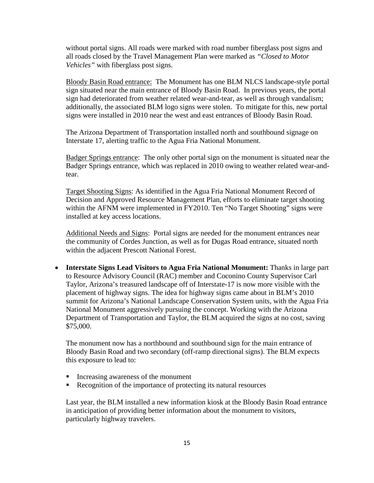without portal signs. All roads were marked with road number fiberglass post signs and all roads closed by the Travel Management Plan were marked as *"Closed to Motor Vehicles"* with fiberglass post signs.

Bloody Basin Road entrance: The Monument has one BLM NLCS landscape-style portal sign situated near the main entrance of Bloody Basin Road. In previous years, the portal sign had deteriorated from weather related wear-and-tear, as well as through vandalism; additionally, the associated BLM logo signs were stolen. To mitigate for this, new portal signs were installed in 2010 near the west and east entrances of Bloody Basin Road.

The Arizona Department of Transportation installed north and southbound signage on Interstate 17, alerting traffic to the Agua Fria National Monument.

Badger Springs entrance: The only other portal sign on the monument is situated near the Badger Springs entrance, which was replaced in 2010 owing to weather related wear-andtear.

Target Shooting Signs: As identified in the Agua Fria National Monument Record of Decision and Approved Resource Management Plan, efforts to eliminate target shooting within the AFNM were implemented in FY2010. Ten "No Target Shooting" signs were installed at key access locations.

Additional Needs and Signs: Portal signs are needed for the monument entrances near the community of Cordes Junction, as well as for Dugas Road entrance, situated north within the adjacent Prescott National Forest.

• **Interstate Signs Lead Visitors to Agua Fria National Monument:** Thanks in large part to Resource Advisory Council (RAC) member and Coconino County Supervisor Carl Taylor, Arizona's treasured landscape off of Interstate-17 is now more visible with the placement of highway signs. The idea for highway signs came about in BLM's 2010 summit for Arizona's National Landscape Conservation System units, with the Agua Fria National Monument aggressively pursuing the concept. Working with the Arizona Department of Transportation and Taylor, the BLM acquired the signs at no cost, saving \$75,000.

The monument now has a northbound and southbound sign for the main entrance of Bloody Basin Road and two secondary (off-ramp directional signs). The BLM expects this exposure to lead to:

- Increasing awareness of the monument
- Recognition of the importance of protecting its natural resources

Last year, the BLM installed a new information kiosk at the Bloody Basin Road entrance in anticipation of providing better information about the monument to visitors, particularly highway travelers.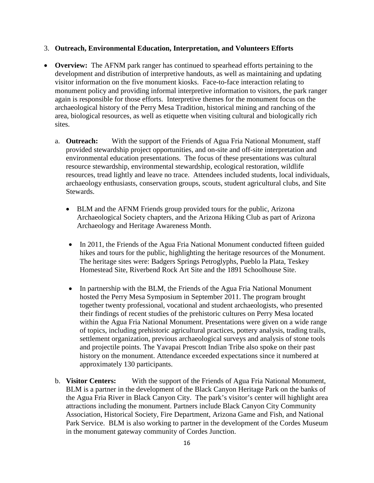# 3. **Outreach, Environmental Education, Interpretation, and Volunteers Efforts**

- **Overview:** The AFNM park ranger has continued to spearhead efforts pertaining to the development and distribution of interpretive handouts, as well as maintaining and updating visitor information on the five monument kiosks. Face-to-face interaction relating to monument policy and providing informal interpretive information to visitors, the park ranger again is responsible for those efforts. Interpretive themes for the monument focus on the archaeological history of the Perry Mesa Tradition, historical mining and ranching of the area, biological resources, as well as etiquette when visiting cultural and biologically rich sites.
	- a. **Outreach:** With the support of the Friends of Agua Fria National Monument, staff provided stewardship project opportunities, and on-site and off-site interpretation and environmental education presentations. The focus of these presentations was cultural resource stewardship, environmental stewardship, ecological restoration, wildlife resources, tread lightly and leave no trace. Attendees included students, local individuals, archaeology enthusiasts, conservation groups, scouts, student agricultural clubs, and Site Stewards.
		- BLM and the AFNM Friends group provided tours for the public, Arizona Archaeological Society chapters, and the Arizona Hiking Club as part of Arizona Archaeology and Heritage Awareness Month.
		- In 2011, the Friends of the Agua Fria National Monument conducted fifteen guided hikes and tours for the public, highlighting the heritage resources of the Monument. The heritage sites were: Badgers Springs Petroglyphs, Pueblo la Plata, Teskey Homestead Site, Riverbend Rock Art Site and the 1891 Schoolhouse Site.
		- In partnership with the BLM, the Friends of the Agua Fria National Monument hosted the Perry Mesa Symposium in September 2011. The program brought together twenty professional, vocational and student archaeologists, who presented their findings of recent studies of the prehistoric cultures on Perry Mesa located within the Agua Fria National Monument. Presentations were given on a wide range of topics, including prehistoric agricultural practices, pottery analysis, trading trails, settlement organization, previous archaeological surveys and analysis of stone tools and projectile points. The Yavapai Prescott Indian Tribe also spoke on their past history on the monument. Attendance exceeded expectations since it numbered at approximately 130 participants.
	- b. **Visitor Centers:** With the support of the Friends of Agua Fria National Monument, BLM is a partner in the development of the Black Canyon Heritage Park on the banks of the Agua Fria River in Black Canyon City. The park's visitor's center will highlight area attractions including the monument. Partners include Black Canyon City Community Association, Historical Society, Fire Department, Arizona Game and Fish, and National Park Service. BLM is also working to partner in the development of the Cordes Museum in the monument gateway community of Cordes Junction.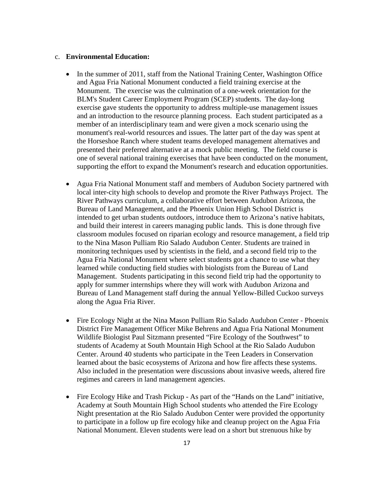#### c. **Environmental Education:**

- In the summer of 2011, staff from the National Training Center, Washington Office and Agua Fria National Monument conducted a field training exercise at the Monument. The exercise was the culmination of a one-week orientation for the BLM's Student Career Employment Program (SCEP) students. The day-long exercise gave students the opportunity to address multiple-use management issues and an introduction to the resource planning process. Each student participated as a member of an interdisciplinary team and were given a mock scenario using the monument's real-world resources and issues. The latter part of the day was spent at the Horseshoe Ranch where student teams developed management alternatives and presented their preferred alternative at a mock public meeting. The field course is one of several national training exercises that have been conducted on the monument, supporting the effort to expand the Monument's research and education opportunities.
- Agua Fria National Monument staff and members of Audubon Society partnered with local inter-city high schools to develop and promote the River Pathways Project. The River Pathways curriculum, a collaborative effort between Audubon Arizona, the Bureau of Land Management, and the Phoenix Union High School District is intended to get urban students outdoors, introduce them to Arizona's native habitats, and build their interest in careers managing public lands. This is done through five classroom modules focused on riparian ecology and resource management, a field trip to the Nina Mason Pulliam Rio Salado Audubon Center. Students are trained in monitoring techniques used by scientists in the field, and a second field trip to the Agua Fria National Monument where select students got a chance to use what they learned while conducting field studies with biologists from the Bureau of Land Management. Students participating in this second field trip had the opportunity to apply for summer internships where they will work with Audubon Arizona and Bureau of Land Management staff during the annual Yellow-Billed Cuckoo surveys along the Agua Fria River.
- Fire Ecology Night at the Nina Mason Pulliam Rio Salado Audubon Center Phoenix District Fire Management Officer Mike Behrens and Agua Fria National Monument Wildlife Biologist Paul Sitzmann presented "Fire Ecology of the Southwest" to students of Academy at South Mountain High School at the Rio Salado Audubon Center. Around 40 students who participate in the Teen Leaders in Conservation learned about the basic ecosystems of Arizona and how fire affects these systems. Also included in the presentation were discussions about invasive weeds, altered fire regimes and careers in land management agencies.
- Fire Ecology Hike and Trash Pickup As part of the "Hands on the Land" initiative, Academy at South Mountain High School students who attended the Fire Ecology Night presentation at the Rio Salado Audubon Center were provided the opportunity to participate in a follow up fire ecology hike and cleanup project on the Agua Fria National Monument. Eleven students were lead on a short but strenuous hike by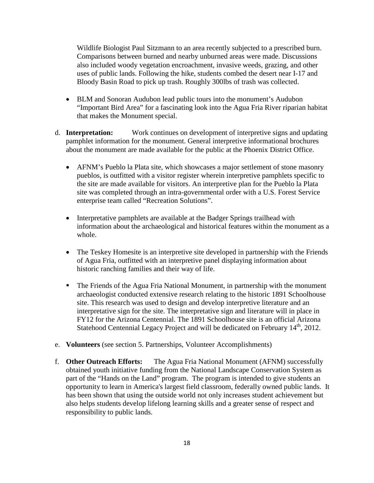Wildlife Biologist Paul Sitzmann to an area recently subjected to a prescribed burn. Comparisons between burned and nearby unburned areas were made. Discussions also included woody vegetation encroachment, invasive weeds, grazing, and other uses of public lands. Following the hike, students combed the desert near I-17 and Bloody Basin Road to pick up trash. Roughly 300lbs of trash was collected.

- BLM and Sonoran Audubon lead public tours into the monument's Audubon "Important Bird Area" for a fascinating look into the Agua Fria River riparian habitat that makes the Monument special.
- d. **Interpretation:** Work continues on development of interpretive signs and updating pamphlet information for the monument. General interpretive informational brochures about the monument are made available for the public at the Phoenix District Office.
	- AFNM's Pueblo la Plata site, which showcases a major settlement of stone masonry pueblos, is outfitted with a visitor register wherein interpretive pamphlets specific to the site are made available for visitors. An interpretive plan for the Pueblo la Plata site was completed through an intra-governmental order with a U.S. Forest Service enterprise team called "Recreation Solutions".
	- Interpretative pamphlets are available at the Badger Springs trailhead with information about the archaeological and historical features within the monument as a whole.
	- The Teskey Homesite is an interpretive site developed in partnership with the Friends of Agua Fria, outfitted with an interpretive panel displaying information about historic ranching families and their way of life.
	- The Friends of the Agua Fria National Monument, in partnership with the monument archaeologist conducted extensive research relating to the historic 1891 Schoolhouse site. This research was used to design and develop interpretive literature and an interpretative sign for the site. The interpretative sign and literature will in place in FY12 for the Arizona Centennial. The 1891 Schoolhouse site is an official Arizona Statehood Centennial Legacy Project and will be dedicated on February 14<sup>th</sup>, 2012.
- e. **Volunteers** (see section 5. Partnerships, Volunteer Accomplishments)
- f. **Other Outreach Efforts:** The Agua Fria National Monument (AFNM) successfully obtained youth initiative funding from the National Landscape Conservation System as part of the "Hands on the Land" program. The program is intended to give students an opportunity to learn in America's largest field classroom, federally owned public lands. It has been shown that using the outside world not only increases student achievement but also helps students develop lifelong learning skills and a greater sense of respect and responsibility to public lands.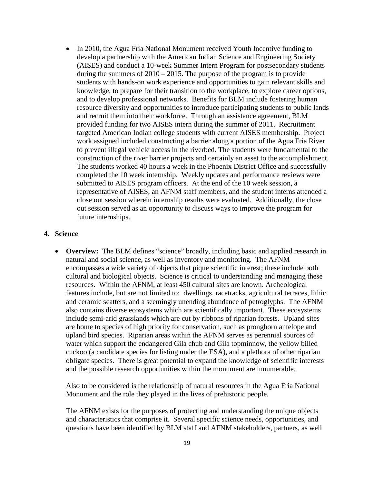• In 2010, the Agua Fria National Monument received Youth Incentive funding to develop a partnership with the American Indian Science and Engineering Society (AISES) and conduct a 10-week Summer Intern Program for postsecondary students during the summers of  $2010 - 2015$ . The purpose of the program is to provide students with hands-on work experience and opportunities to gain relevant skills and knowledge, to prepare for their transition to the workplace, to explore career options, and to develop professional networks. Benefits for BLM include fostering human resource diversity and opportunities to introduce participating students to public lands and recruit them into their workforce. Through an assistance agreement, BLM provided funding for two AISES intern during the summer of 2011. Recruitment targeted American Indian college students with current AISES membership. Project work assigned included constructing a barrier along a portion of the Agua Fria River to prevent illegal vehicle access in the riverbed. The students were fundamental to the construction of the river barrier projects and certainly an asset to the accomplishment. The students worked 40 hours a week in the Phoenix District Office and successfully completed the 10 week internship. Weekly updates and performance reviews were submitted to AISES program officers. At the end of the 10 week session, a representative of AISES, an AFNM staff members, and the student interns attended a close out session wherein internship results were evaluated. Additionally, the close out session served as an opportunity to discuss ways to improve the program for future internships.

### **4. Science**

**Overview:** The BLM defines "science" broadly, including basic and applied research in natural and social science, as well as inventory and monitoring. The AFNM encompasses a wide variety of objects that pique scientific interest; these include both cultural and biological objects. Science is critical to understanding and managing these resources. Within the AFNM, at least 450 cultural sites are known. Archeological features include, but are not limited to: dwellings, racetracks, agricultural terraces, lithic and ceramic scatters, and a seemingly unending abundance of petroglyphs. The AFNM also contains diverse ecosystems which are scientifically important. These ecosystems include semi-arid grasslands which are cut by ribbons of riparian forests. Upland sites are home to species of high priority for conservation, such as pronghorn antelope and upland bird species. Riparian areas within the AFNM serves as perennial sources of water which support the endangered Gila chub and Gila topminnow, the yellow billed cuckoo (a candidate species for listing under the ESA), and a plethora of other riparian obligate species. There is great potential to expand the knowledge of scientific interests and the possible research opportunities within the monument are innumerable.

Also to be considered is the relationship of natural resources in the Agua Fria National Monument and the role they played in the lives of prehistoric people.

The AFNM exists for the purposes of protecting and understanding the unique objects and characteristics that comprise it. Several specific science needs, opportunities, and questions have been identified by BLM staff and AFNM stakeholders, partners, as well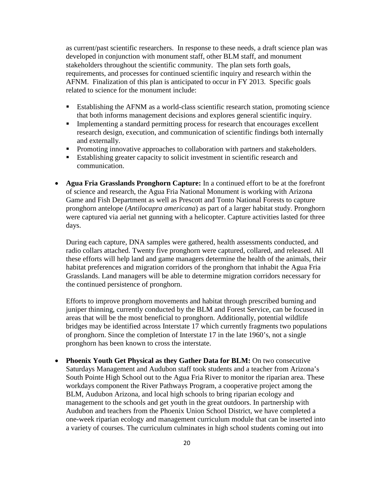as current/past scientific researchers. In response to these needs, a draft science plan was developed in conjunction with monument staff, other BLM staff, and monument stakeholders throughout the scientific community. The plan sets forth goals, requirements, and processes for continued scientific inquiry and research within the AFNM. Finalization of this plan is anticipated to occur in FY 2013. Specific goals related to science for the monument include:

- Establishing the AFNM as a world-class scientific research station, promoting science that both informs management decisions and explores general scientific inquiry.
- **Implementing a standard permitting process for research that encourages excellent** research design, execution, and communication of scientific findings both internally and externally.
- **Promoting innovative approaches to collaboration with partners and stakeholders.**
- Establishing greater capacity to solicit investment in scientific research and communication.
- **Agua Fria Grasslands Pronghorn Capture:** In a continued effort to be at the forefront of science and research, the Agua Fria National Monument is working with Arizona Game and Fish Department as well as Prescott and Tonto National Forests to capture pronghorn antelope (*Antilocapra americana*) as part of a larger habitat study. Pronghorn were captured via aerial net gunning with a helicopter. Capture activities lasted for three days.

During each capture, DNA samples were gathered, health assessments conducted, and radio collars attached. Twenty five pronghorn were captured, collared, and released. All these efforts will help land and game managers determine the health of the animals, their habitat preferences and migration corridors of the pronghorn that inhabit the Agua Fria Grasslands. Land managers will be able to determine migration corridors necessary for the continued persistence of pronghorn.

Efforts to improve pronghorn movements and habitat through prescribed burning and juniper thinning, currently conducted by the BLM and Forest Service, can be focused in areas that will be the most beneficial to pronghorn. Additionally, potential wildlife bridges may be identified across Interstate 17 which currently fragments two populations of pronghorn. Since the completion of Interstate 17 in the late 1960's, not a single pronghorn has been known to cross the interstate.

• **Phoenix Youth Get Physical as they Gather Data for BLM:** On two consecutive Saturdays Management and Audubon staff took students and a teacher from Arizona's South Pointe High School out to the Agua Fria River to monitor the riparian area. These workdays component the River Pathways Program, a cooperative project among the BLM, Audubon Arizona, and local high schools to bring riparian ecology and management to the schools and get youth in the great outdoors. In partnership with Audubon and teachers from the Phoenix Union School District, we have completed a one-week riparian ecology and management curriculum module that can be inserted into a variety of courses. The curriculum culminates in high school students coming out into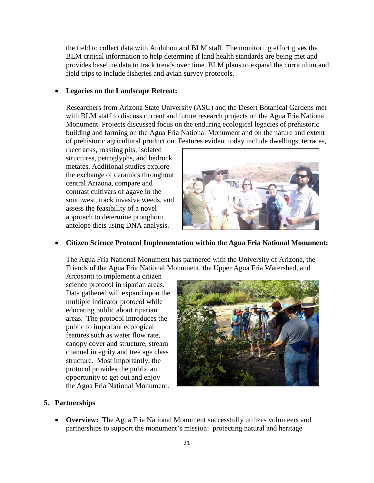the field to collect data with Audubon and BLM staff. The monitoring effort gives the BLM critical information to help determine if land health standards are being met and provides baseline data to track trends over time. BLM plans to expand the curriculum and field trips to include fisheries and avian survey protocols.

#### • **Legacies on the Landscape Retreat:**

Researchers from Arizona State University (ASU) and the Desert Botanical Gardens met with BLM staff to discuss current and future research projects on the Agua Fria National Monument. Projects discussed focus on the enduring ecological legacies of prehistoric building and farming on the Agua Fria National Monument and on the nature and extent of prehistoric agricultural production. Features evident today include dwellings, terraces,

racetracks, roasting pits, isolated structures, petroglyphs, and bedrock metates. Additional studies explore the exchange of ceramics throughout central Arizona, compare and contrast cultivars of agave in the southwest, track invasive weeds, and assess the feasibility of a novel approach to determine pronghorn antelope diets using DNA analysis.



# • **Citizen Science Protocol Implementation within the Agua Fria National Monument:**

The Agua Fria National Monument has partnered with the University of Arizona, the Friends of the Agua Fria National Monument, the Upper Agua Fria Watershed, and

Arcosanti to implement a citizen science protocol in riparian areas. Data gathered will expand upon the multiple indicator protocol while educating public about riparian areas. The protocol introduces the public to important ecological features such as water flow rate, canopy cover and structure, stream channel integrity and tree age class structure. Most importantly, the protocol provides the public an opportunity to get out and enjoy the Agua Fria National Monument.



#### **5. Partnerships**

• **Overview:** The Agua Fria National Monument successfully utilizes volunteers and partnerships to support the monument's mission: protecting natural and heritage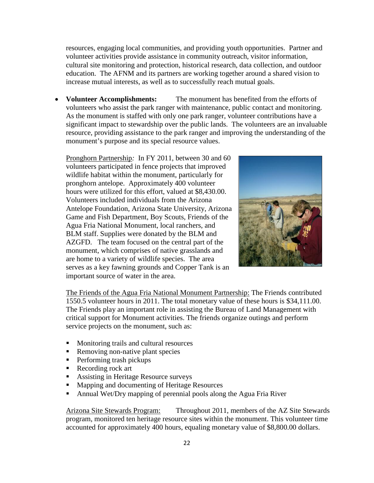resources, engaging local communities, and providing youth opportunities. Partner and volunteer activities provide assistance in community outreach, visitor information, cultural site monitoring and protection, historical research, data collection, and outdoor education. The AFNM and its partners are working together around a shared vision to increase mutual interests, as well as to successfully reach mutual goals.

• **Volunteer Accomplishments:** The monument has benefited from the efforts of volunteers who assist the park ranger with maintenance, public contact and monitoring. As the monument is staffed with only one park ranger, volunteer contributions have a significant impact to stewardship over the public lands. The volunteers are an invaluable resource, providing assistance to the park ranger and improving the understanding of the monument's purpose and its special resource values.

Pronghorn Partnership*:* In FY 2011, between 30 and 60 volunteers participated in fence projects that improved wildlife habitat within the monument, particularly for pronghorn antelope. Approximately 400 volunteer hours were utilized for this effort, valued at \$8,430.00. Volunteers included individuals from the Arizona Antelope Foundation, Arizona State University, Arizona Game and Fish Department, Boy Scouts, Friends of the Agua Fria National Monument, local ranchers, and BLM staff. Supplies were donated by the BLM and AZGFD. The team focused on the central part of the monument, which comprises of native grasslands and are home to a variety of wildlife species. The area serves as a key fawning grounds and Copper Tank is an important source of water in the area.



The Friends of the Agua Fria National Monument Partnership: The Friends contributed 1550.5 volunteer hours in 2011. The total monetary value of these hours is \$34,111.00. The Friends play an important role in assisting the Bureau of Land Management with critical support for Monument activities. The friends organize outings and perform service projects on the monument, such as:

- **Monitoring trails and cultural resources**
- Removing non-native plant species
- **Performing trash pickups**
- Recording rock art
- Assisting in Heritage Resource surveys
- **Mapping and documenting of Heritage Resources**
- Annual Wet/Dry mapping of perennial pools along the Agua Fria River

Arizona Site Stewards Program: Throughout 2011, members of the AZ Site Stewards program, monitored ten heritage resource sites within the monument. This volunteer time accounted for approximately 400 hours, equaling monetary value of \$8,800.00 dollars.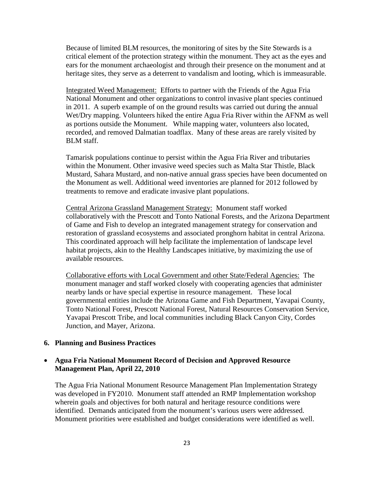Because of limited BLM resources, the monitoring of sites by the Site Stewards is a critical element of the protection strategy within the monument. They act as the eyes and ears for the monument archaeologist and through their presence on the monument and at heritage sites, they serve as a deterrent to vandalism and looting, which is immeasurable.

Integrated Weed Management: Efforts to partner with the Friends of the Agua Fria National Monument and other organizations to control invasive plant species continued in 2011. A superb example of on the ground results was carried out during the annual Wet/Dry mapping. Volunteers hiked the entire Agua Fria River within the AFNM as well as portions outside the Monument. While mapping water, volunteers also located, recorded, and removed Dalmatian toadflax. Many of these areas are rarely visited by BLM staff.

Tamarisk populations continue to persist within the Agua Fria River and tributaries within the Monument. Other invasive weed species such as Malta Star Thistle, Black Mustard, Sahara Mustard, and non-native annual grass species have been documented on the Monument as well. Additional weed inventories are planned for 2012 followed by treatments to remove and eradicate invasive plant populations.

Central Arizona Grassland Management Strategy: Monument staff worked collaboratively with the Prescott and Tonto National Forests, and the Arizona Department of Game and Fish to develop an integrated management strategy for conservation and restoration of grassland ecosystems and associated pronghorn habitat in central Arizona. This coordinated approach will help facilitate the implementation of landscape level habitat projects, akin to the Healthy Landscapes initiative, by maximizing the use of available resources.

Collaborative efforts with Local Government and other State/Federal Agencies:The monument manager and staff worked closely with cooperating agencies that administer nearby lands or have special expertise in resource management. These local governmental entities include the Arizona Game and Fish Department, Yavapai County, Tonto National Forest, Prescott National Forest, Natural Resources Conservation Service, Yavapai Prescott Tribe, and local communities including Black Canyon City, Cordes Junction, and Mayer, Arizona.

#### **6. Planning and Business Practices**

# • **Agua Fria National Monument Record of Decision and Approved Resource Management Plan, April 22, 2010**

The Agua Fria National Monument Resource Management Plan Implementation Strategy was developed in FY2010. Monument staff attended an RMP Implementation workshop wherein goals and objectives for both natural and heritage resource conditions were identified. Demands anticipated from the monument's various users were addressed. Monument priorities were established and budget considerations were identified as well.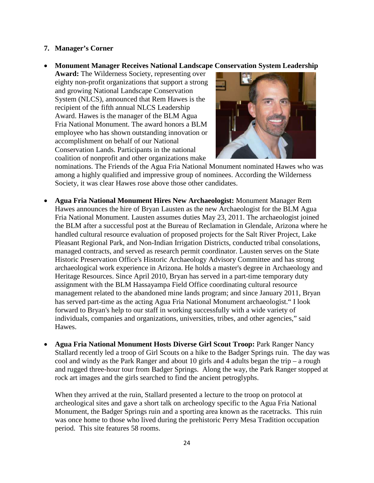#### **7. Manager's Corner**

• **Monument Manager Receives National Landscape Conservation System Leadership** 

**Award:** The Wilderness Society, representing over eighty non-profit organizations that support a strong and growing National Landscape Conservation System (NLCS), announced that Rem Hawes is the recipient of the fifth annual NLCS Leadership Award. Hawes is the manager of the BLM Agua Fria National Monument. The award honors a BLM employee who has shown outstanding innovation or accomplishment on behalf of our National Conservation Lands. Participants in the national coalition of nonprofit and other organizations make



nominations. The Friends of the Agua Fria National Monument nominated Hawes who was among a highly qualified and impressive group of nominees. According the Wilderness Society, it was clear Hawes rose above those other candidates.

- **Agua Fria National Monument Hires New Archaeologist:** Monument Manager Rem Hawes announces the hire of Bryan Lausten as the new Archaeologist for the BLM Agua Fria National Monument. Lausten assumes duties May 23, 2011. The archaeologist joined the BLM after a successful post at the Bureau of Reclamation in Glendale, Arizona where he handled cultural resource evaluation of proposed projects for the Salt River Project, Lake Pleasant Regional Park, and Non-Indian Irrigation Districts, conducted tribal consolations, managed contracts, and served as research permit coordinator. Lausten serves on the State Historic Preservation Office's Historic Archaeology Advisory Committee and has strong archaeological work experience in Arizona. He holds a master's degree in Archaeology and Heritage Resources. Since April 2010, Bryan has served in a part-time temporary duty assignment with the BLM Hassayampa Field Office coordinating cultural resource management related to the abandoned mine lands program; and since January 2011, Bryan has served part-time as the acting Agua Fria National Monument archaeologist." I look forward to Bryan's help to our staff in working successfully with a wide variety of individuals, companies and organizations, universities, tribes, and other agencies," said Hawes.
- **Agua Fria National Monument Hosts Diverse Girl Scout Troop:** Park Ranger Nancy Stallard recently led a troop of Girl Scouts on a hike to the Badger Springs ruin. The day was cool and windy as the Park Ranger and about 10 girls and 4 adults began the trip – a rough and rugged three-hour tour from Badger Springs. Along the way, the Park Ranger stopped at rock art images and the girls searched to find the ancient petroglyphs.

When they arrived at the ruin, Stallard presented a lecture to the troop on protocol at archeological sites and gave a short talk on archeology specific to the Agua Fria National Monument, the Badger Springs ruin and a sporting area known as the racetracks. This ruin was once home to those who lived during the prehistoric Perry Mesa Tradition occupation period. This site features 58 rooms.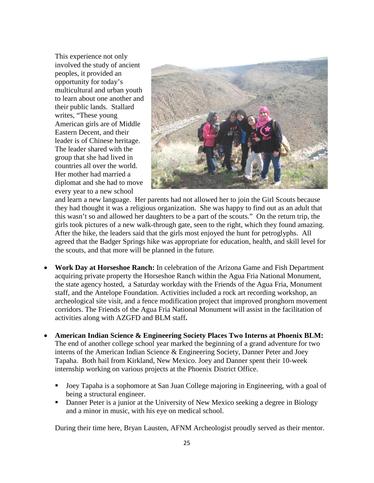This experience not only involved the study of ancient peoples, it provided an opportunity for today's multicultural and urban youth to learn about one another and their public lands. Stallard writes, "These young American girls are of Middle Eastern Decent, and their leader is of Chinese heritage. The leader shared with the group that she had lived in countries all over the world. Her mother had married a diplomat and she had to move every year to a new school



and learn a new language. Her parents had not allowed her to join the Girl Scouts because they had thought it was a religious organization. She was happy to find out as an adult that this wasn't so and allowed her daughters to be a part of the scouts." On the return trip, the girls took pictures of a new walk-through gate, seen to the right, which they found amazing. After the hike, the leaders said that the girls most enjoyed the hunt for petroglyphs. All agreed that the Badger Springs hike was appropriate for education, health, and skill level for the scouts, and that more will be planned in the future.

- **Work Day at Horseshoe Ranch:** In celebration of the Arizona Game and Fish Department acquiring private property the Horseshoe Ranch within the Agua Fria National Monument, the state agency hosted, a Saturday workday with the Friends of the Agua Fria, Monument staff, and the Antelope Foundation. Activities included a rock art recording workshop, an archeological site visit, and a fence modification project that improved pronghorn movement corridors. The Friends of the Agua Fria National Monument will assist in the facilitation of activities along with AZGFD and BLM staff**.**
- **American Indian Science & Engineering Society Places Two Interns at Phoenix BLM:**  The end of another college school year marked the beginning of a grand adventure for two interns of the American Indian Science & Engineering Society, Danner Peter and Joey Tapaha. Both hail from Kirkland, New Mexico. Joey and Danner spent their 10-week internship working on various projects at the Phoenix District Office.
	- Joey Tapaha is a sophomore at San Juan College majoring in Engineering, with a goal of being a structural engineer.
	- Danner Peter is a junior at the University of New Mexico seeking a degree in Biology and a minor in music, with his eye on medical school.

During their time here, Bryan Lausten, AFNM Archeologist proudly served as their mentor.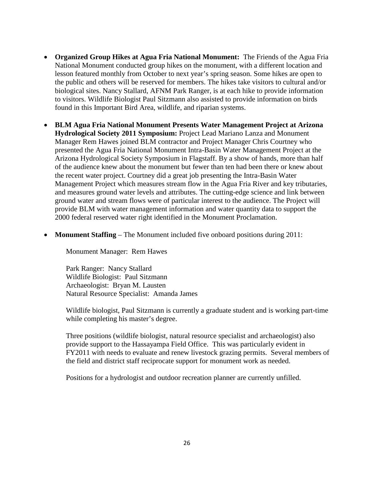- **Organized Group Hikes at Agua Fria National Monument:** The Friends of the Agua Fria National Monument conducted group hikes on the monument, with a different location and lesson featured monthly from October to next year's spring season. Some hikes are open to the public and others will be reserved for members. The hikes take visitors to cultural and/or biological sites. Nancy Stallard, AFNM Park Ranger, is at each hike to provide information to visitors. Wildlife Biologist Paul Sitzmann also assisted to provide information on birds found in this Important Bird Area, wildlife, and riparian systems.
- **BLM Agua Fria National Monument Presents Water Management Project at Arizona Hydrological Society 2011 Symposium:** Project Lead Mariano Lanza and Monument Manager Rem Hawes joined BLM contractor and Project Manager Chris Courtney who presented the Agua Fria National Monument Intra-Basin Water Management Project at the Arizona Hydrological Society Symposium in Flagstaff. By a show of hands, more than half of the audience knew about the monument but fewer than ten had been there or knew about the recent water project. Courtney did a great job presenting the Intra-Basin Water Management Project which measures stream flow in the Agua Fria River and key tributaries, and measures ground water levels and attributes. The cutting-edge science and link between ground water and stream flows were of particular interest to the audience. The Project will provide BLM with water management information and water quantity data to support the 2000 federal reserved water right identified in the Monument Proclamation.
- **Monument Staffing** The Monument included five onboard positions during 2011:

Monument Manager: Rem Hawes

Park Ranger: Nancy Stallard Wildlife Biologist: Paul Sitzmann Archaeologist: Bryan M. Lausten Natural Resource Specialist: Amanda James

Wildlife biologist, Paul Sitzmann is currently a graduate student and is working part-time while completing his master's degree.

Three positions (wildlife biologist, natural resource specialist and archaeologist) also provide support to the Hassayampa Field Office. This was particularly evident in FY2011 with needs to evaluate and renew livestock grazing permits. Several members of the field and district staff reciprocate support for monument work as needed.

Positions for a hydrologist and outdoor recreation planner are currently unfilled.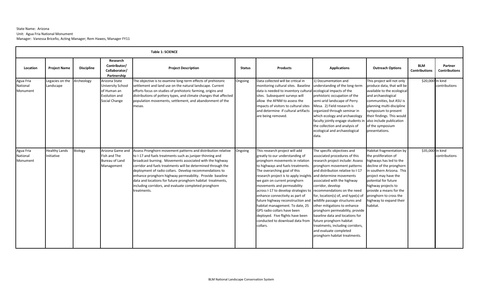#### State Name: Arizona Unit: Agua Fria National Monument Manager: Vanessa Briceño, Acting Manager; Rem Hawes, Manager FY11

|                                   |                                    |                   |                                                                                            | <b>Table 1: SCIENCE</b>                                                                                                                                                                                                                                                                                                                                                                                                                                                                                             |               |                                                                                                                                                                                                                                                                                                                                                                                                                                                                                                                                                                               |                                                                                                                                                                                                                                                                                                                                                                                                                                                                                                                                                                    |                                                                                                                                                                                                                                                                                                         |                                    |                                 |
|-----------------------------------|------------------------------------|-------------------|--------------------------------------------------------------------------------------------|---------------------------------------------------------------------------------------------------------------------------------------------------------------------------------------------------------------------------------------------------------------------------------------------------------------------------------------------------------------------------------------------------------------------------------------------------------------------------------------------------------------------|---------------|-------------------------------------------------------------------------------------------------------------------------------------------------------------------------------------------------------------------------------------------------------------------------------------------------------------------------------------------------------------------------------------------------------------------------------------------------------------------------------------------------------------------------------------------------------------------------------|--------------------------------------------------------------------------------------------------------------------------------------------------------------------------------------------------------------------------------------------------------------------------------------------------------------------------------------------------------------------------------------------------------------------------------------------------------------------------------------------------------------------------------------------------------------------|---------------------------------------------------------------------------------------------------------------------------------------------------------------------------------------------------------------------------------------------------------------------------------------------------------|------------------------------------|---------------------------------|
| Location                          | <b>Project Name</b>                | <b>Discipline</b> | Research<br>Contributor/<br>Collaborator/<br>Partnership                                   | <b>Project Description</b>                                                                                                                                                                                                                                                                                                                                                                                                                                                                                          | <b>Status</b> | <b>Products</b>                                                                                                                                                                                                                                                                                                                                                                                                                                                                                                                                                               | <b>Applications</b>                                                                                                                                                                                                                                                                                                                                                                                                                                                                                                                                                | <b>Outreach Options</b>                                                                                                                                                                                                                                                                                 | <b>BLM</b><br><b>Contributions</b> | Partner<br><b>Contributions</b> |
| Agua Fria<br>National<br>Monument | Legacies on the<br>Landscape       | Archeology        | Arizona State<br><b>University School</b><br>of Human an<br>Evolution and<br>Social Change | The objective is to examine long-term effects of prehistoric<br>settlement and land use on the natural landscape. Current<br>efforts focus on studies of prehistoric farming, origins and<br>distributions of pottery types, and climate changes that affected<br>population movements, settlement, and abandonment of the<br>mesas.                                                                                                                                                                                | Ongoing       | Data collected will be critical in<br>monitoring cultural sites. Baseline<br>data is needed to inventory cultural ecological impacts of the<br>sites. Subsequent surveys will<br>allow the AFNM to assess the<br>impacts of visitors to cultural sites<br>and determine if cultural artifacts<br>are being removed.                                                                                                                                                                                                                                                           | 1) Documentation and<br>understanding of the long-term<br>prehistoric occupation of the<br>semi-arid landscape of Perry<br>Mesa. 2) Field research is<br>organized through seminar in<br>which ecology and archaeology<br>faculty jointly engage students in<br>the collection and analysis of<br>ecological and archaeological<br>data.                                                                                                                                                                                                                           | This project will not only<br>produce data, that will be<br>available to the ecological<br>and archaeological<br>communities, but ASU is<br>planning multi-discipline<br>symposium to present<br>their findings. This would<br>also include publication<br>of the symposium<br>presentations.           | \$20,000 In kind                   | contributions                   |
| Agua Fria<br>National<br>Monument | <b>Healthy Lands</b><br>Initiative | <b>Biology</b>    | Arizona Game and<br>Fish and The<br><b>Bureau of Land</b><br>Management                    | Assess Pronghorn movement patterns and distribution relative<br>to I-17 and fuels treatments such as juniper thinning and<br>broadcast burning. Movements associated with the highway<br>corridor and fuels treatments will be determined through the<br>deployment of radio collars. Develop recommendations to<br>enhance pronghorn highway permeability. Provide baseline<br>data and locations for future pronghorn habitat treatments,<br>including corridors, and evaluate completed pronghorn<br>treatments. | Ongoing       | This research project will add<br>greatly to our understanding of<br>pronghorn movements in relation<br>to highways and fuels treatments.<br>The overarching goal of this<br>research project is to apply insights and determine movements<br>we gain on current pronghorn<br>movements and permeability<br>across I-17 to develop strategies to<br>enhance connectivity as part of<br>future highway reconstruction and<br>habitat management. To date, 25<br>GPS radio collars have been<br>deployed. Five flights have been<br>conducted to download data from<br>collars. | The specific objectives and<br>associated procedures of this<br>research project include: Assess<br>pronghorn movement patterns<br>and distribution relative to I-17<br>associated with the highway<br>corridor, develop<br>recommendations on the need<br>for, location(s) of, and type(s) of<br>wildlife passage structures and<br>other mitigations to enhance<br>pronghorn permeability, provide<br>baseline data and locations for<br>future pronghorn habitat<br>treatments, including corridors,<br>and evaluate completed<br>pronghorn habitat treatments. | Habitat fragmentation by<br>the proliferation of<br>highways has led to the<br>decline of the pronghorn<br>in southern Arizona. This<br>project may have the<br>potential for future<br>highway projects to<br>provide a means for the<br>pronghorn to cross the<br>highway to expand their<br>habitat. | \$35,000 In kind                   | contributions                   |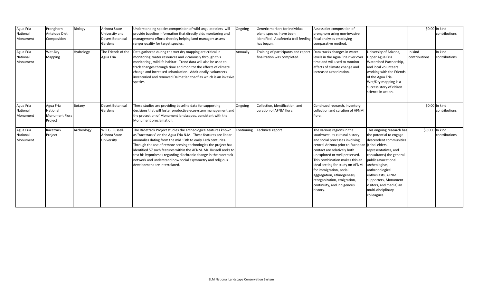| Agua Fria<br>National<br>Monument | Pronghorn<br>Antelope Diet<br>Composition                 | Biology    | Arizona State<br>University and<br><b>Desert Botanical</b><br>Gardens | Understanding species composition of wild ungulate diets will<br>provide baseline information that directly aids monitoring and<br>management efforts thereby helping land managers assess<br>ranger quality for target species.                                                                                                                                                                                                                                                                          | Ongoing    | Genetic markers for individual<br>plant species have been<br>identified. A cafeteria trail feeding<br>has begun. | Assess diet composition of<br>pronghorn using non-invasive<br>fecal analyses employing<br>comparative method.                                                                                                                                                                                                                                                                                               |                                                                                                                                                                                                                                                                                                                                |                          | \$0.00 In kind<br>contributions |
|-----------------------------------|-----------------------------------------------------------|------------|-----------------------------------------------------------------------|-----------------------------------------------------------------------------------------------------------------------------------------------------------------------------------------------------------------------------------------------------------------------------------------------------------------------------------------------------------------------------------------------------------------------------------------------------------------------------------------------------------|------------|------------------------------------------------------------------------------------------------------------------|-------------------------------------------------------------------------------------------------------------------------------------------------------------------------------------------------------------------------------------------------------------------------------------------------------------------------------------------------------------------------------------------------------------|--------------------------------------------------------------------------------------------------------------------------------------------------------------------------------------------------------------------------------------------------------------------------------------------------------------------------------|--------------------------|---------------------------------|
| Agua Fria<br>National<br>Monument | Wet-Dry<br>Mapping                                        | Hydrology  | The Friends of the<br>Agua Fria                                       | Data gathered during the wet dry mapping are critical in<br>monitoring water resources and vicariously through this<br>monitoring, wildlife habitat. Trend data will also be used to<br>track changes through time and monitor the effects of climate<br>change and increased urbanization. Additionally, volunteers<br>inventoried and removed Dalmatian toadflax which is an invasive<br>species.                                                                                                       | Annually   | Training of participants and report<br>finalization was completed.                                               | Data tracks changes in water<br>levels in the Agua Fria river over<br>time and will used to monitor<br>effects of climate change and<br>increased urbanization.                                                                                                                                                                                                                                             | University of Arizona,<br>Upper Agua Fria<br>Watershed Partnership,<br>and local volunteers<br>working with the Friends<br>of the Agua Fria.<br>Wet/Dry mapping is a<br>success story of citizen<br>science in action.                                                                                                         | In kind<br>contributions | In kind<br>contributions        |
| Agua Fria<br>National<br>Monument | Agua Fria<br>National<br><b>Monument Flora</b><br>Project | Botany     | <b>Desert Botanical</b><br>Gardens                                    | These studies are providing baseline data for supporting<br>decisions that will foster productive ecosystem management and<br>the protection of Monument landscapes, consistent with the<br>Monument proclamation.                                                                                                                                                                                                                                                                                        | Ongoing    | Collection, identification, and<br>curation of AFNM flora.                                                       | Continued research, inventory,<br>collection and curation of AFNM<br>flora.                                                                                                                                                                                                                                                                                                                                 |                                                                                                                                                                                                                                                                                                                                |                          | \$0.00 In kind<br>contributions |
| Agua Fria<br>National<br>Monument | Racetrack<br>Project                                      | Archeology | Will G. Russell.<br>Arizona State<br>University                       | The Racetrack Project studies the archeological features known<br>as "racetracks" on the Agua Fria N.M. These features are linear<br>anomalies dating from the mid 13th to early 14th centuries.<br>Through the use of remote sensing technologies the project has<br>identified 57 such features within the AFNM. Mr. Russell seeks to<br>test his hypotheses regarding diachronic change in the racetrack<br>network and understand how social asymmetry and religious<br>development are interrelated. | Continuing | <b>Technical report</b>                                                                                          | The various regions in the<br>southwest, its cultural history<br>and social processes involving<br>central Arizona prior to European<br>contact are relatively both<br>unexplored or well preserved.<br>This combination makes this an<br>ideal setting for study on AFNM<br>for immigration, social<br>aggregation, ethnogenesis,<br>reorganization, emigration,<br>continuity, and indigenous<br>history. | This ongoing research has<br>the potential to engage<br>descendent communities<br>(tribal elders,<br>representatives, and<br>consultants) the general<br>public (avocational<br>archeologists,<br>anthropological<br>enthusiasts, AFNM<br>supporters, Monument<br>visitors, and media) an<br>multi-disciplinary<br>colleagues. | \$9,000 In kind          | contributions                   |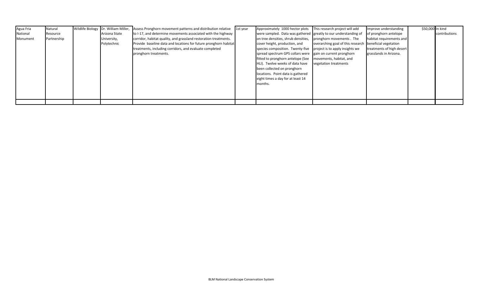| Agua Fria | Natural     |               | Wildlife Biology Dr. William Miller, Assess Pronghorn movement patterns and distribution relative | 1st year | Approximately 1000 hector plots This research project will add   |                                                         | Improve understanding     | \$50,000 In kind |               |
|-----------|-------------|---------------|---------------------------------------------------------------------------------------------------|----------|------------------------------------------------------------------|---------------------------------------------------------|---------------------------|------------------|---------------|
| National  | Resource    | Arizona State | to I-17, and determine movements associated with the highway                                      |          | were sampled. Data was gathered greatly to our understanding of  |                                                         | of pronghorn antelope     |                  | contributions |
| Monument  | Partnership | University,   | corridor, habitat quality, and grassland restoration treatments.                                  |          | on tree densities, shrub densities, pronghorn movements. The     |                                                         | habitat requirements and  |                  |               |
|           |             | Polytechnic   | Provide baseline data and locations for future pronghorn habitat                                  |          | cover height, production, and                                    | overarching goal of this research beneficial vegetation |                           |                  |               |
|           |             |               | treatments, including corridors, and evaluate completed                                           |          | species composition. Twenty-five project is to apply insights we |                                                         | treatments of high desert |                  |               |
|           |             |               | pronghorn treatments.                                                                             |          | spread spectrum GPS collars were gain on current pronghorn       |                                                         | grasslands in Arizona.    |                  |               |
|           |             |               |                                                                                                   |          | fitted to pronghorn antelope (See                                | movements, habitat, and                                 |                           |                  |               |
|           |             |               |                                                                                                   |          | HLI). Twelve weeks of data have                                  | vegetation treatments                                   |                           |                  |               |
|           |             |               |                                                                                                   |          | been collected on pronghorn                                      |                                                         |                           |                  |               |
|           |             |               |                                                                                                   |          | locations. Point data is gathered                                |                                                         |                           |                  |               |
|           |             |               |                                                                                                   |          | eight times a day for at least 14                                |                                                         |                           |                  |               |
|           |             |               |                                                                                                   |          | months.                                                          |                                                         |                           |                  |               |
|           |             |               |                                                                                                   |          |                                                                  |                                                         |                           |                  |               |
|           |             |               |                                                                                                   |          |                                                                  |                                                         |                           |                  |               |
|           |             |               |                                                                                                   |          |                                                                  |                                                         |                           |                  |               |
|           |             |               |                                                                                                   |          |                                                                  |                                                         |                           |                  |               |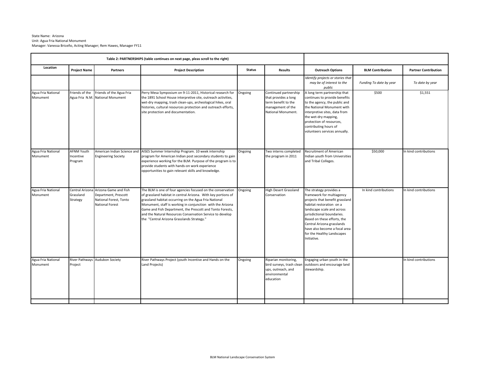#### State Name: Arizona Unit: Agua Fria National Monument Manager: Vanessa Briceño, Acting Manager; Rem Hawes, Manager FY11

| Table 2: PARTNERSHIPS (table continues on next page, pleas scroll to the right) |                                           |                                                                                                                   |                                                                                                                                                                                                                                                                                                                                                                                                                             |               |                                                                                                                 |                                                                                                                                                                                                                                                                                                                            |                         |                             |
|---------------------------------------------------------------------------------|-------------------------------------------|-------------------------------------------------------------------------------------------------------------------|-----------------------------------------------------------------------------------------------------------------------------------------------------------------------------------------------------------------------------------------------------------------------------------------------------------------------------------------------------------------------------------------------------------------------------|---------------|-----------------------------------------------------------------------------------------------------------------|----------------------------------------------------------------------------------------------------------------------------------------------------------------------------------------------------------------------------------------------------------------------------------------------------------------------------|-------------------------|-----------------------------|
| Location<br><b>Project Name</b><br>Partners                                     |                                           |                                                                                                                   | <b>Project Description</b>                                                                                                                                                                                                                                                                                                                                                                                                  | <b>Status</b> | <b>Results</b>                                                                                                  | <b>Outreach Options</b>                                                                                                                                                                                                                                                                                                    | <b>BLM Contribution</b> | <b>Partner Contribution</b> |
|                                                                                 |                                           |                                                                                                                   |                                                                                                                                                                                                                                                                                                                                                                                                                             |               |                                                                                                                 | Identify projects or stories that<br>may be of interest to the<br>public                                                                                                                                                                                                                                                   | Funding To date by year | To date by year             |
| Agua Fria National<br>Monument                                                  | Friends of the<br>Agua Fria N.M.          | Friends of the Agua Fria<br><b>National Monument</b>                                                              | Perry Mesa Symposium on 9-11-2011, Historical research for<br>the 1891 School House interpretive site, outreach activities,<br>wet-dry mapping, trash clean-ups, archeological hikes, oral<br>histories, cultural resources protection and outreach efforts,<br>site protection and documentation.                                                                                                                          | Ongoing       | Continued partnership<br>that provides a long<br>term benefit to the<br>management of the<br>National Monument. | A long term partnership that<br>continues to provide benefits<br>to the agency, the public and<br>the National Monument with<br>interpretive sites, data from<br>the wet-dry mapping,<br>protection of resources,<br>contributing hours of<br>volunteers services annually.                                                | \$500                   | \$1,551                     |
| Agua Fria National<br>Monument                                                  | <b>AFNM Youth</b><br>Incentive<br>Program | American Indian Science and<br><b>Engineering Society</b>                                                         | AISES Summer Internship Program. 10 week internship<br>program for American Indian post secondary students to gain<br>experience working for the BLM. Purpose of the program is to<br>provide students with hands-on work experience<br>opportunities to gain relevant skills and knowledge.                                                                                                                                | Ongoing       | Two interns completed<br>the program in 2011                                                                    | Recruitment of American<br>Indian youth from Universities<br>and Tribal Colleges.                                                                                                                                                                                                                                          | \$50,000                | In kind contributions       |
| Agua Fria National<br>Monument                                                  | Grassland<br>Strategy                     | Central Arizona Arizona Game and Fish<br>Department, Prescott<br>National Forest, Tonto<br><b>National Forest</b> | The BLM is one of four agencies focused on the conservation<br>of grassland habitat in central Arizona. With key portions of<br>grassland habitat occurring on the Agua Fria National<br>Monument, staff is working in conjunction with the Arizona<br>Game and Fish Department, the Prescott and Tonto Forests,<br>and the Natural Resources Conservation Service to develop<br>the "Central Arizona Grasslands Strategy." | Ongoing       | <b>High Desert Grassland</b><br>Conservation                                                                    | The strategy provides a<br>framework for multiagency<br>projects that benefit grassland<br>habitat restoration on a<br>landscape scale and across<br>jurisdictional boundaries.<br>Based on these efforts, the<br>Central Arizona grasslands<br>have also become a focal area<br>for the Healthy Landscapes<br>Initiative. | In kind contributions   | In kind contributions       |
| Agua Fria National<br>Monument                                                  | River Pathways<br>Project                 | Audubon Society                                                                                                   | River Pathways Project (youth Incentive and Hands on the<br>Land Projects)                                                                                                                                                                                                                                                                                                                                                  | Ongoing       | Riparian monitoring,<br>bird surveys, trash clear<br>ups, outreach, and<br>environmental<br>education           | Engaging urban youth in the<br>outdoors and encourage land<br>stewardship.                                                                                                                                                                                                                                                 |                         | In kind contributions       |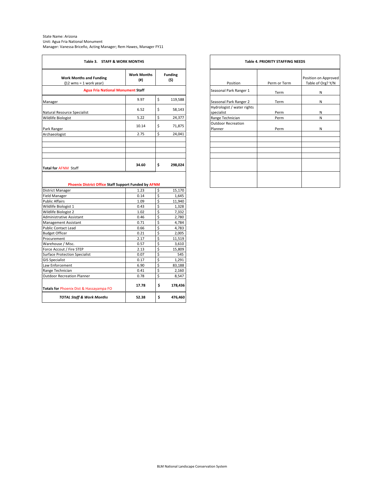| State Name: Arizona                                               |
|-------------------------------------------------------------------|
| Unit: Agua Fria National Monument                                 |
| Manager: Vanessa Briceño, Acting Manager; Rem Hawes, Manager FY11 |

| Table 3. STAFF & WORK MONTHS                                                                                                                                                                                                                                                                                                                                                                                                                                                                |                           |                           |                        |  |  |  |
|---------------------------------------------------------------------------------------------------------------------------------------------------------------------------------------------------------------------------------------------------------------------------------------------------------------------------------------------------------------------------------------------------------------------------------------------------------------------------------------------|---------------------------|---------------------------|------------------------|--|--|--|
| <b>Work Months and Funding</b><br>$(12 \text{ wms} = 1 \text{ work year})$                                                                                                                                                                                                                                                                                                                                                                                                                  | <b>Work Months</b><br>(#) |                           | <b>Funding</b><br>(\$) |  |  |  |
| <b>Agua Fria National Monument Staff</b>                                                                                                                                                                                                                                                                                                                                                                                                                                                    |                           |                           |                        |  |  |  |
| Manager                                                                                                                                                                                                                                                                                                                                                                                                                                                                                     | 9.97                      | \$                        | 119,588                |  |  |  |
|                                                                                                                                                                                                                                                                                                                                                                                                                                                                                             | 6.52                      | \$                        | 58,143                 |  |  |  |
| Natural Resource Specialist                                                                                                                                                                                                                                                                                                                                                                                                                                                                 |                           |                           |                        |  |  |  |
| Wildlife Biologist                                                                                                                                                                                                                                                                                                                                                                                                                                                                          | 5.22                      | \$                        | 24,377                 |  |  |  |
|                                                                                                                                                                                                                                                                                                                                                                                                                                                                                             | 10.14                     | \$                        | 71,875                 |  |  |  |
| Park Ranger                                                                                                                                                                                                                                                                                                                                                                                                                                                                                 | 2.75                      | \$                        | 24,041                 |  |  |  |
| Archaeologist                                                                                                                                                                                                                                                                                                                                                                                                                                                                               |                           |                           |                        |  |  |  |
| <b>Total for AFNM Staff</b>                                                                                                                                                                                                                                                                                                                                                                                                                                                                 | 34.60                     | \$                        | 298,024                |  |  |  |
|                                                                                                                                                                                                                                                                                                                                                                                                                                                                                             |                           |                           |                        |  |  |  |
| Phoenix District Office Staff Support Funded by AFNM                                                                                                                                                                                                                                                                                                                                                                                                                                        |                           |                           |                        |  |  |  |
|                                                                                                                                                                                                                                                                                                                                                                                                                                                                                             | 1.23                      | \$                        | 15,170                 |  |  |  |
|                                                                                                                                                                                                                                                                                                                                                                                                                                                                                             | 0.14                      | \$                        | 1,645                  |  |  |  |
|                                                                                                                                                                                                                                                                                                                                                                                                                                                                                             | 1.09                      | \$                        | 11,940                 |  |  |  |
|                                                                                                                                                                                                                                                                                                                                                                                                                                                                                             | 0.43<br>1.02              | \$<br>\$                  | 1,328<br>7,332         |  |  |  |
|                                                                                                                                                                                                                                                                                                                                                                                                                                                                                             | 0.46                      | \$                        | 2,780                  |  |  |  |
|                                                                                                                                                                                                                                                                                                                                                                                                                                                                                             | 0.71                      | \$                        | 4,784                  |  |  |  |
|                                                                                                                                                                                                                                                                                                                                                                                                                                                                                             | 0.66                      | \$                        | 4,783                  |  |  |  |
|                                                                                                                                                                                                                                                                                                                                                                                                                                                                                             | 0.21                      | \$                        | 2,005                  |  |  |  |
|                                                                                                                                                                                                                                                                                                                                                                                                                                                                                             | 2.17                      | \$                        | 11,519                 |  |  |  |
|                                                                                                                                                                                                                                                                                                                                                                                                                                                                                             | 0.57                      | \$                        | 3,610                  |  |  |  |
|                                                                                                                                                                                                                                                                                                                                                                                                                                                                                             | 2.13                      | \$                        | 15,809                 |  |  |  |
|                                                                                                                                                                                                                                                                                                                                                                                                                                                                                             | 0.07                      | \$                        | 545                    |  |  |  |
|                                                                                                                                                                                                                                                                                                                                                                                                                                                                                             | 0.17                      | $\mathsf S$               | 1,291                  |  |  |  |
|                                                                                                                                                                                                                                                                                                                                                                                                                                                                                             | 6.90                      | \$                        | 83,188                 |  |  |  |
|                                                                                                                                                                                                                                                                                                                                                                                                                                                                                             | 0.41                      | \$                        | 2,160                  |  |  |  |
|                                                                                                                                                                                                                                                                                                                                                                                                                                                                                             | 0.78                      | $\boldsymbol{\mathsf{S}}$ | 8,547                  |  |  |  |
| <b>District Manager</b><br><b>Field Manager</b><br><b>Public Affairs</b><br>Wildlife Biologist 1<br>Wildlife Biologist 2<br>Administrative Assistant<br>Management Assistant<br><b>Public Contact Lead</b><br><b>Budget Officer</b><br>Procurement<br>Warehouse / Misc.<br>Force Accout / Fire STEP<br><b>Surface Protection Specialist</b><br><b>GIS Specialist</b><br>Law Enforcement<br>Range Technician<br><b>Outdoor Recreation Planner</b><br>Totals for Phoenix Dist & Hassayampa FO | 17.78                     | \$                        | 178,436                |  |  |  |

|               |                                          | <b>Table 4. PRIORITY STAFFING NEEDS</b> |                                           |  |  |  |  |  |  |
|---------------|------------------------------------------|-----------------------------------------|-------------------------------------------|--|--|--|--|--|--|
| nding<br>(\$) | Position                                 | Perm or Term                            | Position on Approved<br>Table of Org? Y/N |  |  |  |  |  |  |
|               | Seasonal Park Ranger 1                   | Term                                    | N                                         |  |  |  |  |  |  |
| 119,588       | Seasonal Park Ranger 2                   | Term                                    | Ν                                         |  |  |  |  |  |  |
| 58,143        | Hydrologist / water rights<br>specialist | Perm                                    | N                                         |  |  |  |  |  |  |
| 24,377        | Range Technician                         | Perm                                    | N                                         |  |  |  |  |  |  |
| 71,875        | <b>Outdoor Recreation</b><br>Planner     | Perm                                    | N                                         |  |  |  |  |  |  |
| 24,041        |                                          |                                         |                                           |  |  |  |  |  |  |
|               |                                          |                                         |                                           |  |  |  |  |  |  |
|               |                                          |                                         |                                           |  |  |  |  |  |  |
| 298,024       |                                          |                                         |                                           |  |  |  |  |  |  |
|               |                                          |                                         |                                           |  |  |  |  |  |  |
|               |                                          |                                         |                                           |  |  |  |  |  |  |